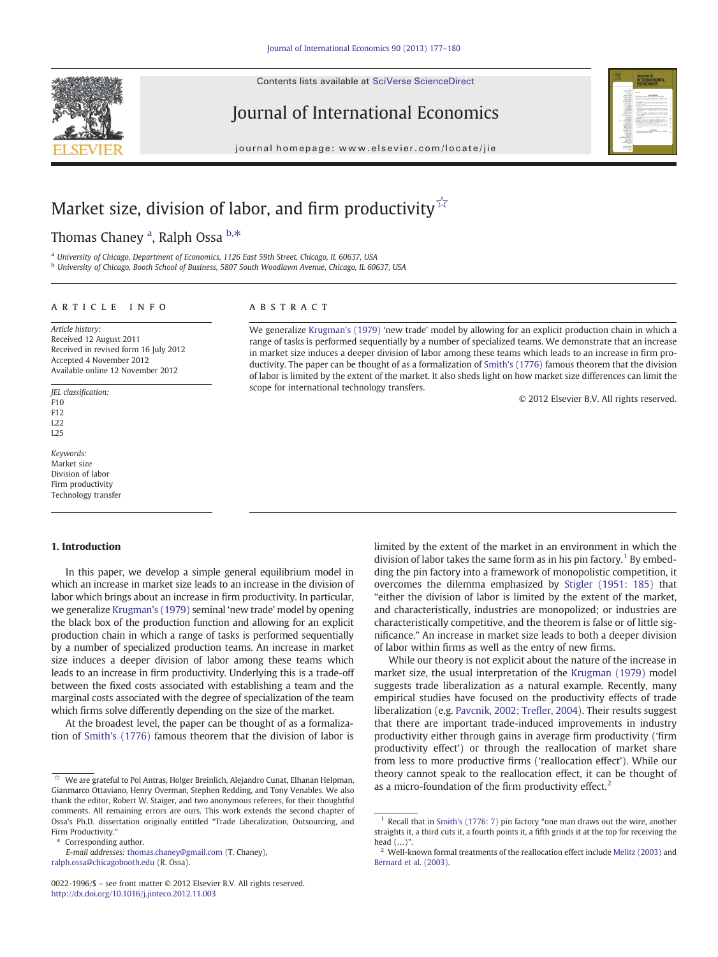Contents lists available at SciVerse ScienceDirect



Journal of International Economics

journal homepage: www.elsevier.com/locate/jie



# Market size, division of labor, and firm productivity  $\hat{x}$

Thomas Chaney <sup>a</sup>, Ralph Ossa <sup>b,\*</sup>

a University of Chicago, Department of Economics, 1126 East 59th Street, Chicago, IL 60637, USA

<sup>b</sup> University of Chicago, Booth School of Business, 5807 South Woodlawn Avenue, Chicago, IL 60637, USA

### article info abstract

Article history: Received 12 August 2011 Received in revised form 16 July 2012 Accepted 4 November 2012 Available online 12 November 2012

JEL classification: F10 F12

 $122$ L25

Keywords: Market size Division of labor Firm productivity Technology transfer

## 1. Introduction

In this paper, we develop a simple general equilibrium model in which an increase in market size leads to an increase in the division of labor which brings about an increase in firm productivity. In particular, we generalize [Krugman's \(1979\)](#page--1-0) seminal 'new trade' model by opening the black box of the production function and allowing for an explicit production chain in which a range of tasks is performed sequentially by a number of specialized production teams. An increase in market size induces a deeper division of labor among these teams which leads to an increase in firm productivity. Underlying this is a trade-off between the fixed costs associated with establishing a team and the marginal costs associated with the degree of specialization of the team which firms solve differently depending on the size of the market.

At the broadest level, the paper can be thought of as a formalization of [Smith's \(1776\)](#page--1-0) famous theorem that the division of labor is

Corresponding author.

We generalize [Krugman's \(1979\)](#page--1-0) 'new trade' model by allowing for an explicit production chain in which a range of tasks is performed sequentially by a number of specialized teams. We demonstrate that an increase in market size induces a deeper division of labor among these teams which leads to an increase in firm productivity. The paper can be thought of as a formalization of [Smith's \(1776\)](#page--1-0) famous theorem that the division of labor is limited by the extent of the market. It also sheds light on how market size differences can limit the scope for international technology transfers.

© 2012 Elsevier B.V. All rights reserved.

limited by the extent of the market in an environment in which the division of labor takes the same form as in his pin factory.<sup>1</sup> By embedding the pin factory into a framework of monopolistic competition, it overcomes the dilemma emphasized by [Stigler \(1951: 185\)](#page--1-0) that "either the division of labor is limited by the extent of the market, and characteristically, industries are monopolized; or industries are characteristically competitive, and the theorem is false or of little significance." An increase in market size leads to both a deeper division of labor within firms as well as the entry of new firms.

While our theory is not explicit about the nature of the increase in market size, the usual interpretation of the [Krugman \(1979\)](#page--1-0) model suggests trade liberalization as a natural example. Recently, many empirical studies have focused on the productivity effects of trade liberalization (e.g. [Pavcnik, 2002; Tre](#page--1-0)fler, 2004). Their results suggest that there are important trade-induced improvements in industry productivity either through gains in average firm productivity ('firm productivity effect') or through the reallocation of market share from less to more productive firms ('reallocation effect'). While our theory cannot speak to the reallocation effect, it can be thought of as a micro-foundation of the firm productivity effect.<sup>2</sup>

<sup>☆</sup> We are grateful to Pol Antras, Holger Breinlich, Alejandro Cunat, Elhanan Helpman, Gianmarco Ottaviano, Henry Overman, Stephen Redding, and Tony Venables. We also thank the editor, Robert W. Staiger, and two anonymous referees, for their thoughtful comments. All remaining errors are ours. This work extends the second chapter of Ossa's Ph.D. dissertation originally entitled "Trade Liberalization, Outsourcing, and Firm Productivity."

E-mail addresses: [thomas.chaney@gmail.com](mailto:thomas.chaney@gmail.com) (T. Chaney), [ralph.ossa@chicagobooth.edu](mailto:ralph.ossa@chicagobooth.edu) (R. Ossa).

<sup>0022-1996/\$</sup> – see front matter © 2012 Elsevier B.V. All rights reserved. <http://dx.doi.org/10.1016/j.jinteco.2012.11.003>

 $1$  Recall that in [Smith's \(1776: 7\)](#page--1-0) pin factory "one man draws out the wire, another straights it, a third cuts it, a fourth points it, a fifth grinds it at the top for receiving the head (…)".

 $2$  Well-known formal treatments of the reallocation effect include [Melitz \(2003\)](#page--1-0) and [Bernard et al. \(2003\).](#page--1-0)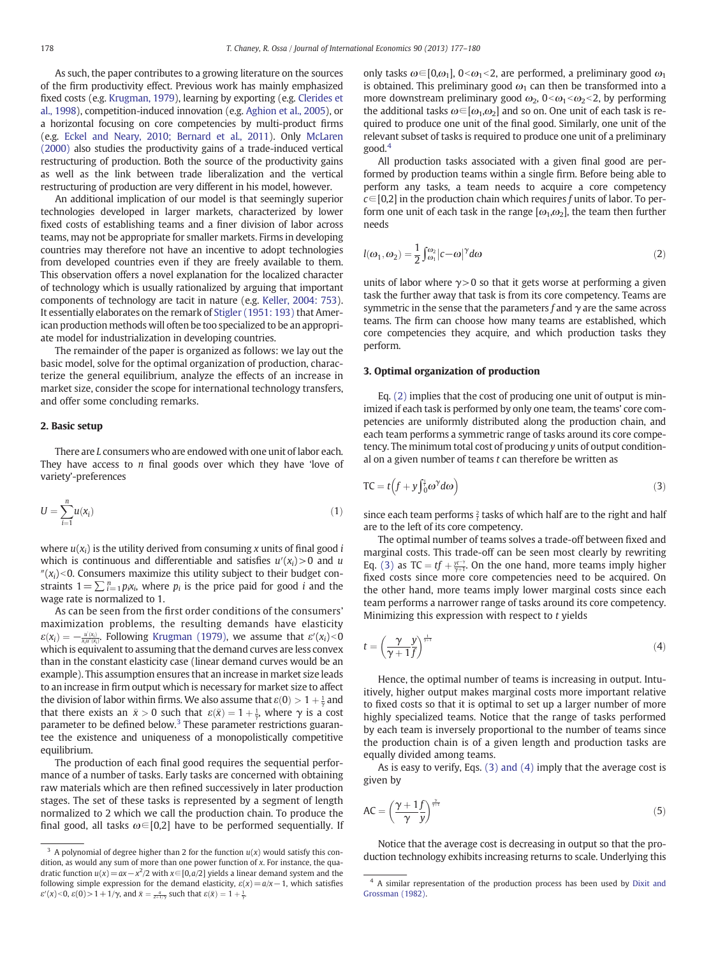As such, the paper contributes to a growing literature on the sources of the firm productivity effect. Previous work has mainly emphasized fixed costs (e.g. [Krugman, 1979\)](#page--1-0), learning by exporting (e.g. [Clerides et](#page--1-0) [al., 1998](#page--1-0)), competition-induced innovation (e.g. [Aghion et al., 2005\)](#page--1-0), or a horizontal focusing on core competencies by multi-product firms (e.g. [Eckel and Neary, 2010; Bernard et al., 2011](#page--1-0)). Only [McLaren](#page--1-0) [\(2000\)](#page--1-0) also studies the productivity gains of a trade-induced vertical restructuring of production. Both the source of the productivity gains as well as the link between trade liberalization and the vertical restructuring of production are very different in his model, however.

An additional implication of our model is that seemingly superior technologies developed in larger markets, characterized by lower fixed costs of establishing teams and a finer division of labor across teams, may not be appropriate for smaller markets. Firms in developing countries may therefore not have an incentive to adopt technologies from developed countries even if they are freely available to them. This observation offers a novel explanation for the localized character of technology which is usually rationalized by arguing that important components of technology are tacit in nature (e.g. [Keller, 2004: 753\)](#page--1-0). It essentially elaborates on the remark of [Stigler \(1951: 193\)](#page--1-0) that American production methods will often be too specialized to be an appropriate model for industrialization in developing countries.

The remainder of the paper is organized as follows: we lay out the basic model, solve for the optimal organization of production, characterize the general equilibrium, analyze the effects of an increase in market size, consider the scope for international technology transfers, and offer some concluding remarks.

### 2. Basic setup

There are L consumers who are endowed with one unit of labor each. They have access to  $n$  final goods over which they have 'love of variety'-preferences

$$
U = \sum_{i=1}^{n} u(x_i) \tag{1}
$$

where  $u(x_i)$  is the utility derived from consuming x units of final good i which is continuous and differentiable and satisfies  $u'(x_i) > 0$  and u  $\gamma(x_i)$ <0. Consumers maximize this utility subject to their budget constraints  $1 = \sum_{i=1}^{n} p_i x_i$ , where  $p_i$  is the price paid for good *i* and the wage rate is normalized to 1.

As can be seen from the first order conditions of the consumers' maximization problems, the resulting demands have elasticity  $\varepsilon(x_i) = -\frac{u'(x_i)}{x_iu'(x_i)}$ . Following [Krugman \(1979\),](#page--1-0) we assume that  $\varepsilon'(x_i) < 0$ which is equivalent to assuming that the demand curves are less convex than in the constant elasticity case (linear demand curves would be an example). This assumption ensures that an increase in market size leads to an increase in firm output which is necessary for market size to affect the division of labor within firms. We also assume that  $\varepsilon(0) > 1 + \frac{1}{\gamma}$  and that there exists an  $\bar{x} > 0$  such that  $\varepsilon(\bar{x}) = 1 + \frac{1}{\gamma}$ , where  $\gamma$  is a cost parameter to be defined below. $3$  These parameter restrictions guarantee the existence and uniqueness of a monopolistically competitive equilibrium.

The production of each final good requires the sequential performance of a number of tasks. Early tasks are concerned with obtaining raw materials which are then refined successively in later production stages. The set of these tasks is represented by a segment of length normalized to 2 which we call the production chain. To produce the final good, all tasks  $\omega \in [0,2]$  have to be performed sequentially. If only tasks  $\omega \in [0,\omega_1], 0<\omega_1<2$ , are performed, a preliminary good  $\omega_1$ is obtained. This preliminary good  $\omega_1$  can then be transformed into a more downstream preliminary good  $\omega_2$ ,  $0<\omega_1<\omega_2<2$ , by performing the additional tasks  $\omega \in [\omega_1, \omega_2]$  and so on. One unit of each task is required to produce one unit of the final good. Similarly, one unit of the relevant subset of tasks is required to produce one unit of a preliminary good.<sup>4</sup>

All production tasks associated with a given final good are performed by production teams within a single firm. Before being able to perform any tasks, a team needs to acquire a core competency  $c \in [0,2]$  in the production chain which requires f units of labor. To perform one unit of each task in the range  $[\omega_1,\omega_2]$ , the team then further needs

$$
l(\omega_1, \omega_2) = \frac{1}{2} \int_{\omega_1}^{\omega_2} |c - \omega|^{\gamma} d\omega \tag{2}
$$

units of labor where  $\gamma > 0$  so that it gets worse at performing a given task the further away that task is from its core competency. Teams are symmetric in the sense that the parameters f and  $\gamma$  are the same across teams. The firm can choose how many teams are established, which core competencies they acquire, and which production tasks they perform.

### 3. Optimal organization of production

Eq. (2) implies that the cost of producing one unit of output is minimized if each task is performed by only one team, the teams' core competencies are uniformly distributed along the production chain, and each team performs a symmetric range of tasks around its core competency. The minimum total cost of producing y units of output conditional on a given number of teams  $t$  can therefore be written as

$$
TC = t(f + y \int_0^{\frac{1}{t}} \omega^{\gamma} d\omega)
$$
 (3)

since each team performs  $\frac{2}{t}$  tasks of which half are to the right and half are to the left of its core competency.

The optimal number of teams solves a trade-off between fixed and marginal costs. This trade-off can be seen most clearly by rewriting Eq. (3) as TC =  $tf + \frac{y^{r-1}}{\gamma+1}$ . On the one hand, more teams imply higher fixed costs since more core competencies need to be acquired. On the other hand, more teams imply lower marginal costs since each team performs a narrower range of tasks around its core competency. Minimizing this expression with respect to  $t$  yields

$$
t = \left(\frac{\gamma}{\gamma + 1} \frac{y}{f}\right)^{\frac{1}{\gamma + 1}} \tag{4}
$$

Hence, the optimal number of teams is increasing in output. Intuitively, higher output makes marginal costs more important relative to fixed costs so that it is optimal to set up a larger number of more highly specialized teams. Notice that the range of tasks performed by each team is inversely proportional to the number of teams since the production chain is of a given length and production tasks are equally divided among teams.

As is easy to verify, Eqs. (3) and (4) imply that the average cost is given by

$$
\text{AC} = \left(\frac{\gamma + 1f}{\gamma - y}\right)^{\frac{\gamma}{\gamma + 1}}\tag{5}
$$

Notice that the average cost is decreasing in output so that the pro- $\frac{3}{3}$  A polynomial of degree higher than 2 for the function  $u(x)$  would satisfy this con-<br>duction technology exhibits increasing returns to scale. Underlying this

dition, as would any sum of more than one power function of x. For instance, the quadratic function  $u(x) = ax - x^2/2$  with  $x \in [0, a/2]$  yields a linear demand system and the following simple expression for the demand elasticity,  $\varepsilon(x)=a/x-1$ , which satisfies  $\varepsilon'(x)$ <0,  $\varepsilon(0)$  > 1 + 1/ $\gamma$ , and  $\bar{x} = \frac{a}{2+1/\gamma}$  such that  $\varepsilon(\bar{x}) = 1 + \frac{1}{\gamma}$ .

<sup>&</sup>lt;sup>4</sup> A similar representation of the production process has been used by [Dixit and](#page--1-0) [Grossman \(1982\)](#page--1-0).